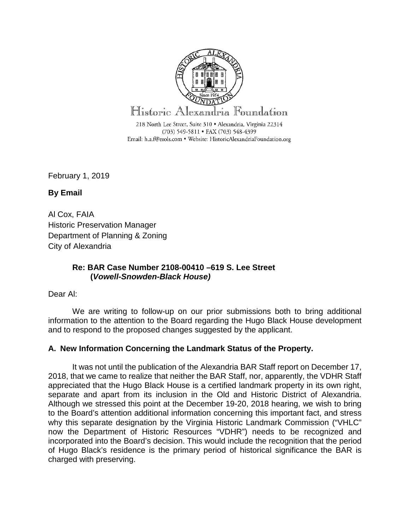

February 1, 2019

**By Email** 

Al Cox, FAIA Historic Preservation Manager Department of Planning & Zoning City of Alexandria

# **Re: BAR Case Number 2108-00410 –619 S. Lee Street (***Vowell-Snowden-Black House)*

Dear Al:

We are writing to follow-up on our prior submissions both to bring additional information to the attention to the Board regarding the Hugo Black House development and to respond to the proposed changes suggested by the applicant.

# **A. New Information Concerning the Landmark Status of the Property.**

It was not until the publication of the Alexandria BAR Staff report on December 17, 2018, that we came to realize that neither the BAR Staff, nor, apparently, the VDHR Staff appreciated that the Hugo Black House is a certified landmark property in its own right, separate and apart from its inclusion in the Old and Historic District of Alexandria. Although we stressed this point at the December 19-20, 2018 hearing, we wish to bring to the Board's attention additional information concerning this important fact, and stress why this separate designation by the Virginia Historic Landmark Commission ("VHLC" now the Department of Historic Resources "VDHR") needs to be recognized and incorporated into the Board's decision. This would include the recognition that the period of Hugo Black's residence is the primary period of historical significance the BAR is charged with preserving.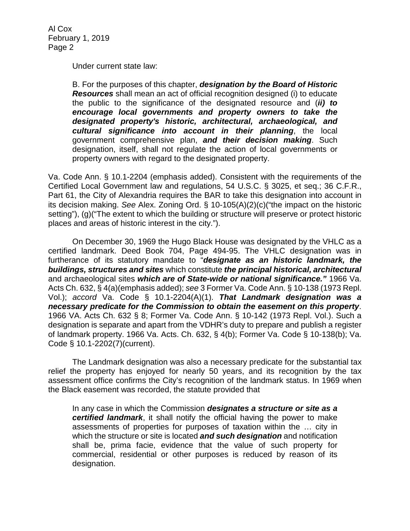Under current state law:

B. For the purposes of this chapter, *designation by the Board of Historic Resources* shall mean an act of official recognition designed (i) to educate the public to the significance of the designated resource and (*ii) to encourage local governments and property owners to take the designated property's historic, architectural, archaeological, and cultural significance into account in their planning*, the local government comprehensive plan, *and their decision making*. Such designation, itself, shall not regulate the action of local governments or property owners with regard to the designated property.

Va. Code Ann. § 10.1-2204 (emphasis added). Consistent with the requirements of the Certified Local Government law and regulations, 54 U.S.C. § 3025, et seq.; 36 C.F.R., Part 61, the City of Alexandria requires the BAR to take this designation into account in its decision making. *See* Alex. Zoning Ord. § 10-105(A)(2)(c)("the impact on the historic setting"), (g)("The extent to which the building or structure will preserve or protect historic places and areas of historic interest in the city.").

On December 30, 1969 the Hugo Black House was designated by the VHLC as a certified landmark. Deed Book 704, Page 494-95. The VHLC designation was in furtherance of its statutory mandate to "*designate as an historic landmark, the buildings, structures and sites* which constitute *the principal historical, architectural* and archaeological sites *which are of State-wide or national significance."* 1966 Va. Acts Ch. 632, § 4(a)(emphasis added); *see* 3 Former Va. Code Ann. § 10-138 (1973 Repl. Vol.); *accord* Va. Code § 10.1-2204(A)(1). *That Landmark designation was a necessary predicate for the Commission to obtain the easement on this property*. 1966 VA. Acts Ch. 632 § 8; Former Va. Code Ann. § 10-142 (1973 Repl. Vol.). Such a designation is separate and apart from the VDHR's duty to prepare and publish a register of landmark property. 1966 Va. Acts. Ch. 632, § 4(b); Former Va. Code § 10-138(b); Va. Code § 10.1-2202(7)(current).

The Landmark designation was also a necessary predicate for the substantial tax relief the property has enjoyed for nearly 50 years, and its recognition by the tax assessment office confirms the City's recognition of the landmark status. In 1969 when the Black easement was recorded, the statute provided that

In any case in which the Commission *designates a structure or site as a certified landmark*, it shall notify the official having the power to make assessments of properties for purposes of taxation within the … city in which the structure or site is located *and such designation* and notification shall be, prima facie, evidence that the value of such property for commercial, residential or other purposes is reduced by reason of its designation.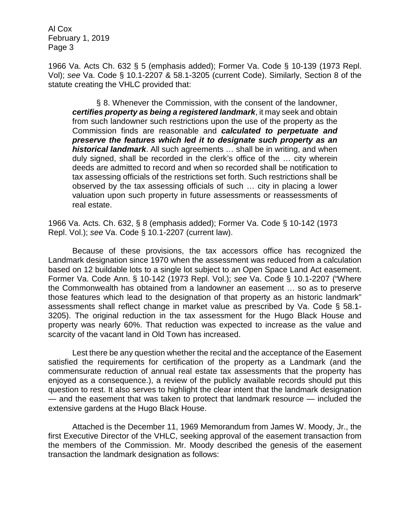1966 Va. Acts Ch. 632 § 5 (emphasis added); Former Va. Code § 10-139 (1973 Repl. Vol); *see* Va. Code § 10.1-2207 & 58.1-3205 (current Code). Similarly, Section 8 of the statute creating the VHLC provided that:

§ 8. Whenever the Commission, with the consent of the landowner, *certifies property as being a registered landmark*, it may seek and obtain from such landowner such restrictions upon the use of the property as the Commission finds are reasonable and *calculated to perpetuate and preserve the features which led it to designate such property as an historical landmark*. All such agreements … shall be in writing, and when duly signed, shall be recorded in the clerk's office of the … city wherein deeds are admitted to record and when so recorded shall be notification to tax assessing officials of the restrictions set forth. Such restrictions shall be observed by the tax assessing officials of such … city in placing a lower valuation upon such property in future assessments or reassessments of real estate.

1966 Va. Acts. Ch. 632, § 8 (emphasis added); Former Va. Code § 10-142 (1973 Repl. Vol.); *see* Va. Code § 10.1-2207 (current law).

Because of these provisions, the tax accessors office has recognized the Landmark designation since 1970 when the assessment was reduced from a calculation based on 12 buildable lots to a single lot subject to an Open Space Land Act easement. Former Va. Code Ann. § 10-142 (1973 Repl. Vol.); *see* Va. Code § 10.1-2207 ("Where the Commonwealth has obtained from a landowner an easement … so as to preserve those features which lead to the designation of that property as an historic landmark" assessments shall reflect change in market value as prescribed by Va. Code § 58.1- 3205). The original reduction in the tax assessment for the Hugo Black House and property was nearly 60%. That reduction was expected to increase as the value and scarcity of the vacant land in Old Town has increased.

Lest there be any question whether the recital and the acceptance of the Easement satisfied the requirements for certification of the property as a Landmark (and the commensurate reduction of annual real estate tax assessments that the property has enjoyed as a consequence.), a review of the publicly available records should put this question to rest. It also serves to highlight the clear intent that the landmark designation — and the easement that was taken to protect that landmark resource — included the extensive gardens at the Hugo Black House.

Attached is the December 11, 1969 Memorandum from James W. Moody, Jr., the first Executive Director of the VHLC, seeking approval of the easement transaction from the members of the Commission. Mr. Moody described the genesis of the easement transaction the landmark designation as follows: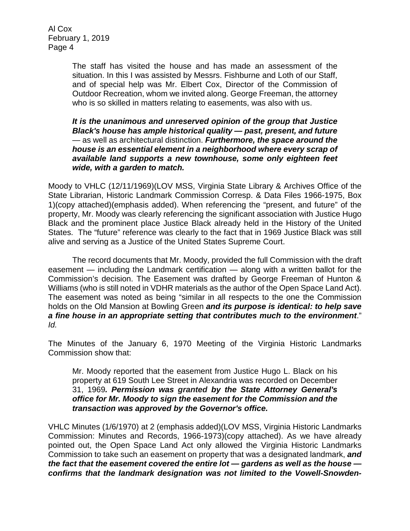> The staff has visited the house and has made an assessment of the situation. In this I was assisted by Messrs. Fishburne and Loth of our Staff, and of special help was Mr. Elbert Cox, Director of the Commission of Outdoor Recreation, whom we invited along. George Freeman, the attorney who is so skilled in matters relating to easements, was also with us.

> *It is the unanimous and unreserved opinion of the group that Justice Black's house has ample historical quality — past, present, and future*  — as well as architectural distinction. *Furthermore, the space around the house is an essential element in a neighborhood where every scrap of available land supports a new townhouse, some only eighteen feet wide, with a garden to match.*

Moody to VHLC (12/11/1969)(LOV MSS, Virginia State Library & Archives Office of the State Librarian, Historic Landmark Commission Corresp. & Data Files 1966-1975, Box 1)(copy attached)(emphasis added). When referencing the "present, and future" of the property, Mr. Moody was clearly referencing the significant association with Justice Hugo Black and the prominent place Justice Black already held in the History of the United States. The "future" reference was clearly to the fact that in 1969 Justice Black was still alive and serving as a Justice of the United States Supreme Court.

The record documents that Mr. Moody, provided the full Commission with the draft easement — including the Landmark certification — along with a written ballot for the Commission's decision. The Easement was drafted by George Freeman of Hunton & Williams (who is still noted in VDHR materials as the author of the Open Space Land Act). The easement was noted as being "similar in all respects to the one the Commission holds on the Old Mansion at Bowling Green *and its purpose is identical: to help save a fine house in an appropriate setting that contributes much to the environment*." *Id.*

The Minutes of the January 6, 1970 Meeting of the Virginia Historic Landmarks Commission show that:

Mr. Moody reported that the easement from Justice Hugo L. Black on his property at 619 South Lee Street in Alexandria was recorded on December 31, 1969*. Permission was granted by the State Attorney General's office for Mr. Moody to sign the easement for the Commission and the transaction was approved by the Governor's office.*

VHLC Minutes (1/6/1970) at 2 (emphasis added)(LOV MSS, Virginia Historic Landmarks Commission: Minutes and Records, 1966-1973)(copy attached). As we have already pointed out, the Open Space Land Act only allowed the Virginia Historic Landmarks Commission to take such an easement on property that was a designated landmark, *and the fact that the easement covered the entire lot — gardens as well as the house confirms that the landmark designation was not limited to the Vowell-Snowden-*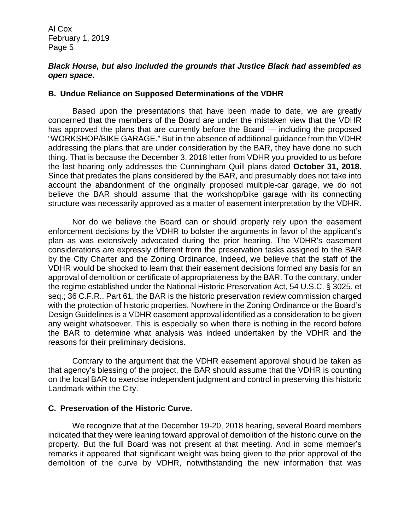### *Black House, but also included the grounds that Justice Black had assembled as open space.*

### **B. Undue Reliance on Supposed Determinations of the VDHR**

Based upon the presentations that have been made to date, we are greatly concerned that the members of the Board are under the mistaken view that the VDHR has approved the plans that are currently before the Board — including the proposed "WORKSHOP/BIKE GARAGE." But in the absence of additional guidance from the VDHR addressing the plans that are under consideration by the BAR, they have done no such thing. That is because the December 3, 2018 letter from VDHR you provided to us before the last hearing only addresses the Cunningham Quill plans dated **October 31, 2018.** Since that predates the plans considered by the BAR, and presumably does not take into account the abandonment of the originally proposed multiple-car garage, we do not believe the BAR should assume that the workshop/bike garage with its connecting structure was necessarily approved as a matter of easement interpretation by the VDHR.

Nor do we believe the Board can or should properly rely upon the easement enforcement decisions by the VDHR to bolster the arguments in favor of the applicant's plan as was extensively advocated during the prior hearing. The VDHR's easement considerations are expressly different from the preservation tasks assigned to the BAR by the City Charter and the Zoning Ordinance. Indeed, we believe that the staff of the VDHR would be shocked to learn that their easement decisions formed any basis for an approval of demolition or certificate of appropriateness by the BAR. To the contrary, under the regime established under the National Historic Preservation Act, 54 U.S.C. § 3025, et seq.; 36 C.F.R., Part 61, the BAR is the historic preservation review commission charged with the protection of historic properties. Nowhere in the Zoning Ordinance or the Board's Design Guidelines is a VDHR easement approval identified as a consideration to be given any weight whatsoever. This is especially so when there is nothing in the record before the BAR to determine what analysis was indeed undertaken by the VDHR and the reasons for their preliminary decisions.

Contrary to the argument that the VDHR easement approval should be taken as that agency's blessing of the project, the BAR should assume that the VDHR is counting on the local BAR to exercise independent judgment and control in preserving this historic Landmark within the City.

### **C. Preservation of the Historic Curve.**

We recognize that at the December 19-20, 2018 hearing, several Board members indicated that they were leaning toward approval of demolition of the historic curve on the property. But the full Board was not present at that meeting. And in some member's remarks it appeared that significant weight was being given to the prior approval of the demolition of the curve by VDHR, notwithstanding the new information that was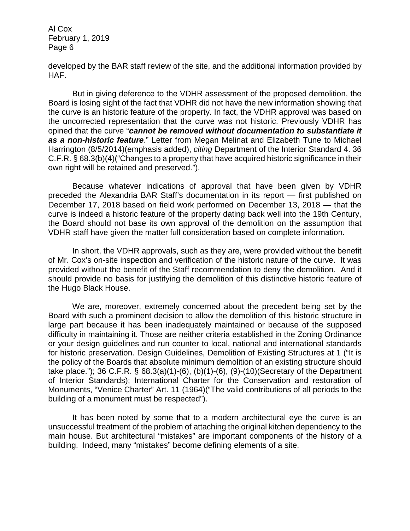developed by the BAR staff review of the site, and the additional information provided by HAF.

But in giving deference to the VDHR assessment of the proposed demolition, the Board is losing sight of the fact that VDHR did not have the new information showing that the curve is an historic feature of the property. In fact, the VDHR approval was based on the uncorrected representation that the curve was not historic. Previously VDHR has opined that the curve "*cannot be removed without documentation to substantiate it as a non-historic feature*." Letter from Megan Melinat and Elizabeth Tune to Michael Harrington (8/5/2014)(emphasis added), *citing* Department of the Interior Standard 4. 36 C.F.R. § 68.3(b)(4)("Changes to a property that have acquired historic significance in their own right will be retained and preserved.").

Because whatever indications of approval that have been given by VDHR preceded the Alexandria BAR Staff's documentation in its report — first published on December 17, 2018 based on field work performed on December 13, 2018 — that the curve is indeed a historic feature of the property dating back well into the 19th Century, the Board should not base its own approval of the demolition on the assumption that VDHR staff have given the matter full consideration based on complete information.

In short, the VDHR approvals, such as they are, were provided without the benefit of Mr. Cox's on-site inspection and verification of the historic nature of the curve. It was provided without the benefit of the Staff recommendation to deny the demolition. And it should provide no basis for justifying the demolition of this distinctive historic feature of the Hugo Black House.

We are, moreover, extremely concerned about the precedent being set by the Board with such a prominent decision to allow the demolition of this historic structure in large part because it has been inadequately maintained or because of the supposed difficulty in maintaining it. Those are neither criteria established in the Zoning Ordinance or your design guidelines and run counter to local, national and international standards for historic preservation. Design Guidelines, Demolition of Existing Structures at 1 ("It is the policy of the Boards that absolute minimum demolition of an existing structure should take place."); 36 C.F.R. § 68.3(a)(1)-(6), (b)(1)-(6), (9)-(10)(Secretary of the Department of Interior Standards); International Charter for the Conservation and restoration of Monuments, "Venice Charter" Art. 11 (1964)("The valid contributions of all periods to the building of a monument must be respected").

It has been noted by some that to a modern architectural eye the curve is an unsuccessful treatment of the problem of attaching the original kitchen dependency to the main house. But architectural "mistakes" are important components of the history of a building. Indeed, many "mistakes" become defining elements of a site.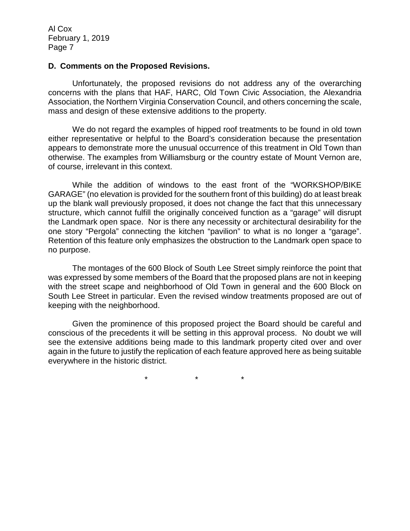#### **D. Comments on the Proposed Revisions.**

Unfortunately, the proposed revisions do not address any of the overarching concerns with the plans that HAF, HARC, Old Town Civic Association, the Alexandria Association, the Northern Virginia Conservation Council, and others concerning the scale, mass and design of these extensive additions to the property.

We do not regard the examples of hipped roof treatments to be found in old town either representative or helpful to the Board's consideration because the presentation appears to demonstrate more the unusual occurrence of this treatment in Old Town than otherwise. The examples from Williamsburg or the country estate of Mount Vernon are, of course, irrelevant in this context.

While the addition of windows to the east front of the "WORKSHOP/BIKE GARAGE" (no elevation is provided for the southern front of this building) do at least break up the blank wall previously proposed, it does not change the fact that this unnecessary structure, which cannot fulfill the originally conceived function as a "garage" will disrupt the Landmark open space. Nor is there any necessity or architectural desirability for the one story "Pergola" connecting the kitchen "pavilion" to what is no longer a "garage". Retention of this feature only emphasizes the obstruction to the Landmark open space to no purpose.

The montages of the 600 Block of South Lee Street simply reinforce the point that was expressed by some members of the Board that the proposed plans are not in keeping with the street scape and neighborhood of Old Town in general and the 600 Block on South Lee Street in particular. Even the revised window treatments proposed are out of keeping with the neighborhood.

Given the prominence of this proposed project the Board should be careful and conscious of the precedents it will be setting in this approval process. No doubt we will see the extensive additions being made to this landmark property cited over and over again in the future to justify the replication of each feature approved here as being suitable everywhere in the historic district.

\* \* \*